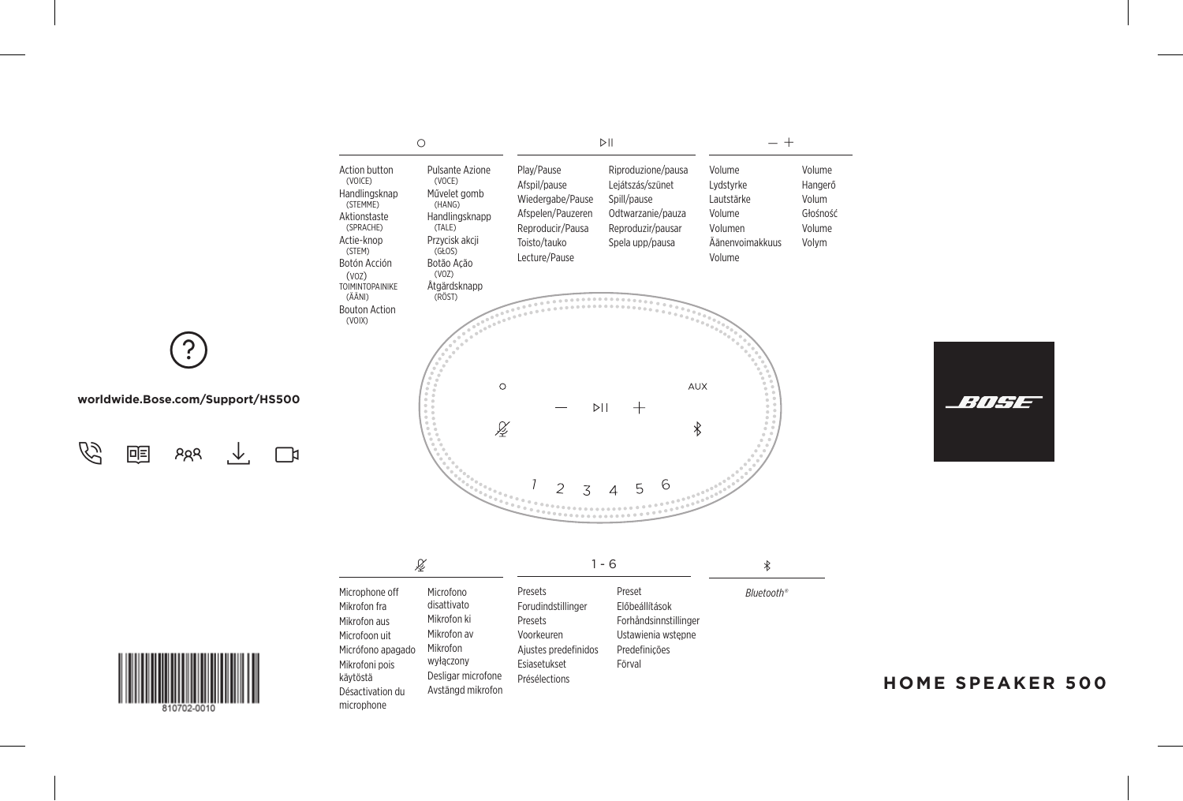



| ß                                                                                                                                                    |                                                                                                                            | 1 - 6                                                                                                           |                                                                                                    | $\ast$     |
|------------------------------------------------------------------------------------------------------------------------------------------------------|----------------------------------------------------------------------------------------------------------------------------|-----------------------------------------------------------------------------------------------------------------|----------------------------------------------------------------------------------------------------|------------|
| Microphone off<br>Mikrofon fra<br>Mikrofon aus<br>Microfoon uit<br>Micrófono apagado<br>Mikrofoni pois<br>kävtöstä<br>Désactivation du<br>microphone | Microfono<br>disattivato<br>Mikrofon ki<br>Mikrofon av<br>Mikrofon<br>wyłaczony<br>Desligar microfone<br>Avstängd mikrofon | Presets<br>Forudindstillinger<br>Presets<br>Voorkeuren<br>Ajustes predefinidos<br>Esiasetukset<br>Présélections | Preset<br>Előbeállítások<br>Forhåndsinnstillinger<br>Ustawienia wstępne<br>Predefinicões<br>Förval | Bluetooth® |



w

#### **worldwide.Bose.com/Support/HS500**